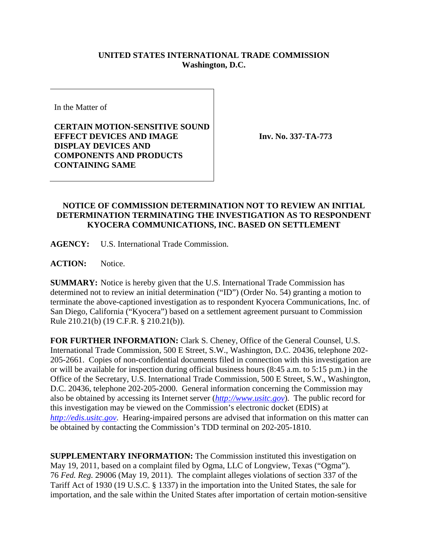## **UNITED STATES INTERNATIONAL TRADE COMMISSION Washington, D.C.**

In the Matter of

**CERTAIN MOTION-SENSITIVE SOUND EFFECT DEVICES AND IMAGE DISPLAY DEVICES AND COMPONENTS AND PRODUCTS CONTAINING SAME** 

**Inv. No. 337-TA-773**

## **NOTICE OF COMMISSION DETERMINATION NOT TO REVIEW AN INITIAL DETERMINATION TERMINATING THE INVESTIGATION AS TO RESPONDENT KYOCERA COMMUNICATIONS, INC. BASED ON SETTLEMENT**

**AGENCY:** U.S. International Trade Commission.

**ACTION:** Notice.

**SUMMARY:** Notice is hereby given that the U.S. International Trade Commission has determined not to review an initial determination ("ID") (Order No. 54) granting a motion to terminate the above-captioned investigation as to respondent Kyocera Communications, Inc. of San Diego, California ("Kyocera") based on a settlement agreement pursuant to Commission Rule 210.21(b) (19 C.F.R. § 210.21(b)).

**FOR FURTHER INFORMATION:** Clark S. Cheney, Office of the General Counsel, U.S. International Trade Commission, 500 E Street, S.W., Washington, D.C. 20436, telephone 202- 205-2661. Copies of non-confidential documents filed in connection with this investigation are or will be available for inspection during official business hours (8:45 a.m. to 5:15 p.m.) in the Office of the Secretary, U.S. International Trade Commission, 500 E Street, S.W., Washington, D.C. 20436, telephone 202-205-2000. General information concerning the Commission may also be obtained by accessing its Internet server (*http://www.usitc.gov*). The public record for this investigation may be viewed on the Commission's electronic docket (EDIS) at *http://edis.usitc.gov*. Hearing-impaired persons are advised that information on this matter can be obtained by contacting the Commission's TDD terminal on 202-205-1810.

**SUPPLEMENTARY INFORMATION:** The Commission instituted this investigation on May 19, 2011, based on a complaint filed by Ogma, LLC of Longview, Texas ("Ogma"). 76 *Fed. Reg.* 29006 (May 19, 2011). The complaint alleges violations of section 337 of the Tariff Act of 1930 (19 U.S.C. § 1337) in the importation into the United States, the sale for importation, and the sale within the United States after importation of certain motion-sensitive